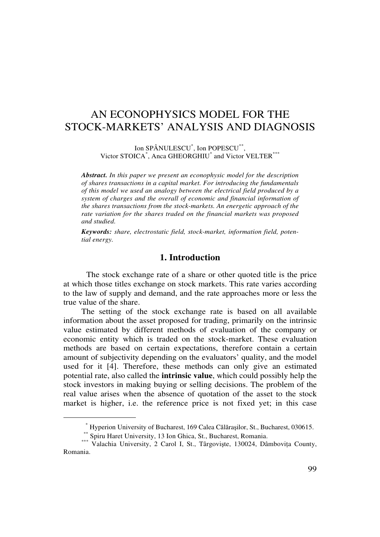# AN ECONOPHYSICS MODEL FOR THE STOCK-MARKETS' ANALYSIS AND DIAGNOSIS

Ion SPÂNULESCU<sup>\*</sup>, Ion POPESCU<sup>\*\*</sup>, Victor STOICA<sup>\*</sup>, Anca GHEORGHIU<sup>\*</sup> and Victor VELTER<sup>\*\*\*</sup>

*Abstract. In this paper we present an econophysic model for the description of shares transactions in a capital market. For introducing the fundamentals of this model we used an analogy between the electrical field produced by a system of charges and the overall of economic and financial information of the shares transactions from the stock-markets. An energetic approach of the rate variation for the shares traded on the financial markets was proposed and studied.* 

 *Keywords: share, electrostatic field, stock-market, information field, potential energy.* 

### **1. Introduction**

The stock exchange rate of a share or other quoted title is the price at which those titles exchange on stock markets. This rate varies according to the law of supply and demand, and the rate approaches more or less the true value of the share.

The setting of the stock exchange rate is based on all available information about the asset proposed for trading, primarily on the intrinsic value estimated by different methods of evaluation of the company or economic entity which is traded on the stock-market. These evaluation methods are based on certain expectations, therefore contain a certain amount of subjectivity depending on the evaluators' quality, and the model used for it [4]. Therefore, these methods can only give an estimated potential rate, also called the **intrinsic value**, which could possibly help the stock investors in making buying or selling decisions. The problem of the real value arises when the absence of quotation of the asset to the stock market is higher, i.e. the reference price is not fixed yet; in this case

<sup>\*</sup> \* Hyperion University of Bucharest, 169 Calea Călăraşilor, St., Bucharest, 030615.

<sup>\*\*</sup> Spiru Haret University, 13 Ion Ghica, St., Bucharest, Romania.

<sup>\*\*\*</sup> Valachia University, 2 Carol I, St., Târgovişte, 130024, Dâmboviţa County, Romania.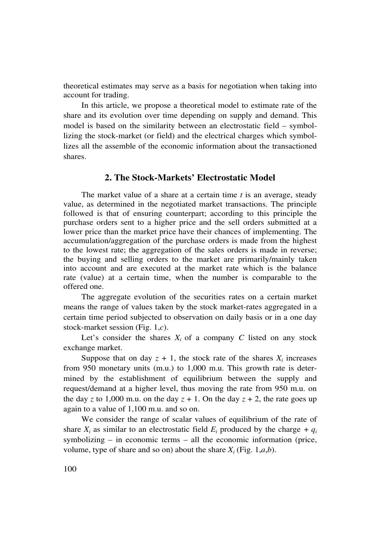theoretical estimates may serve as a basis for negotiation when taking into account for trading.

In this article, we propose a theoretical model to estimate rate of the share and its evolution over time depending on supply and demand. This model is based on the similarity between an electrostatic field – symbollizing the stock-market (or field) and the electrical charges which symbollizes all the assemble of the economic information about the transactioned shares.

#### **2. The Stock-Markets' Electrostatic Model**

The market value of a share at a certain time *t* is an average, steady value, as determined in the negotiated market transactions. The principle followed is that of ensuring counterpart; according to this principle the purchase orders sent to a higher price and the sell orders submitted at a lower price than the market price have their chances of implementing. The accumulation/aggregation of the purchase orders is made from the highest to the lowest rate; the aggregation of the sales orders is made in reverse; the buying and selling orders to the market are primarily/mainly taken into account and are executed at the market rate which is the balance rate (value) at a certain time, when the number is comparable to the offered one.

The aggregate evolution of the securities rates on a certain market means the range of values taken by the stock market-rates aggregated in a certain time period subjected to observation on daily basis or in a one day stock-market session (Fig. 1,*c*).

Let's consider the shares  $X_i$  of a company  $C$  listed on any stock exchange market.

Suppose that on day  $z + 1$ , the stock rate of the shares  $X_i$  increases from 950 monetary units (m.u.) to 1,000 m.u. This growth rate is determined by the establishment of equilibrium between the supply and request/demand at a higher level, thus moving the rate from 950 m.u. on the day *z* to 1,000 m.u. on the day  $z + 1$ . On the day  $z + 2$ , the rate goes up again to a value of 1,100 m.u. and so on.

We consider the range of scalar values of equilibrium of the rate of share  $X_i$  as similar to an electrostatic field  $E_i$  produced by the charge  $+q_i$ symbolizing – in economic terms – all the economic information (price, volume, type of share and so on) about the share  $X_i$  (Fig. 1,*a*,*b*).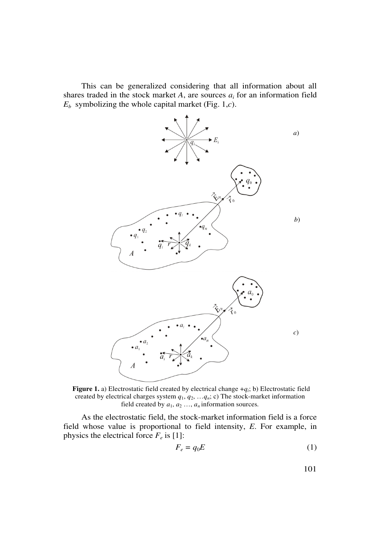This can be generalized considering that all information about all shares traded in the stock market  $A$ , are sources  $a_i$  for an information field  $E_b$  symbolizing the whole capital market (Fig. 1,*c*).



**Figure 1.** a) Electrostatic field created by electrical change  $+q_i$ ; b) Electrostatic field created by electrical charges system *q*1, *q*2, …*qn*; c) The stock-market information field created by  $a_1, a_2, \ldots, a_n$  information sources.

As the electrostatic field, the stock-market information field is a force field whose value is proportional to field intensity, *E*. For example, in physics the electrical force  $F_e$  is [1]:

$$
F_e = q_0 E \tag{1}
$$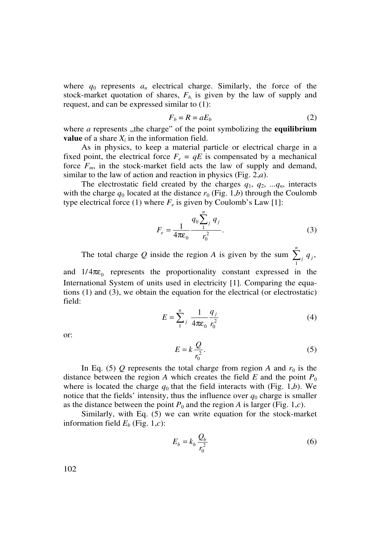where  $q_0$  represents  $a_n$  electrical charge. Similarly, the force of the stock-market quotation of shares,  $F<sub>b</sub>$  is given by the law of supply and request, and can be expressed similar to (1):

$$
F_b = R = aE_b \tag{2}
$$

where *a* represents , the charge" of the point symbolizing the **equilibrium value** of a share  $X_i$  in the information field.

As in physics, to keep a material particle or electrical charge in a fixed point, the electrical force  $F_e = qE$  is compensated by a mechanical force  $F_m$ , in the stock-market field acts the law of supply and demand, similar to the law of action and reaction in physics (Fig. 2,*a*).

The electrostatic field created by the charges  $q_1, q_2, \ldots, q_n$ , interacts with the charge  $q_0$  located at the distance  $r_0$  (Fig. 1,*b*) through the Coulomb type electrical force (1) where  $F_e$  is given by Coulomb's Law [1]:

$$
F_e = \frac{1}{4\pi\epsilon_0} \frac{q_0 \sum_{j=1}^{n} q_j}{r_0^2}.
$$
 (3)

The total charge Q inside the region A is given by the sum  $\sum_{n=1}^{\infty}$ *j j q* , 1 and  $1/4\pi\varepsilon_0$  represents the proportionality constant expressed in the International System of units used in electricity [1]. Comparing the equations (1) and (3), we obtain the equation for the electrical (or electrostatic) field:

$$
E = \sum_{1}^{n} \frac{1}{4\pi\epsilon_0} \frac{q_j}{r_0^2}
$$
 (4)

or:

$$
E = k \frac{Q}{r_0^2}.
$$
 (5)

In Eq. (5)  $Q$  represents the total charge from region  $A$  and  $r_0$  is the distance between the region *A* which creates the field *E* and the point  $P_0$ where is located the charge  $q_0$  that the field interacts with (Fig. 1,b). We notice that the fields' intensity, thus the influence over  $q_0$  charge is smaller as the distance between the point  $P_0$  and the region *A* is larger (Fig. 1,*c*).

Similarly, with Eq. (5) we can write equation for the stock-market information field  $E_b$  (Fig. 1,*c*):

$$
E_b = k_b \frac{Q_b}{r_0^2} \tag{6}
$$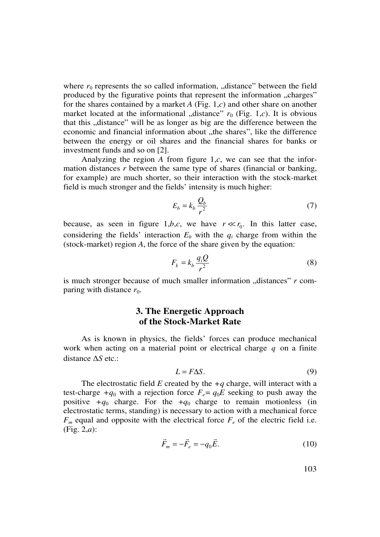where  $r_0$  represents the so called information, "distance" between the field produced by the figurative points that represent the information "charges" for the shares contained by a market *A* (Fig. 1,*c*) and other share on another market located at the informational "distance"  $r_0$  (Fig. 1,*c*). It is obvious that this "distance" will be as longer as big are the difference between the economic and financial information about "the shares", like the difference between the energy or oil shares and the financial shares for banks or investment funds and so on [2].

Analyzing the region *A* from figure 1,*c*, we can see that the information distances *r* between the same type of shares (financial or banking, for example) are much shorter, so their interaction with the stock-market field is much stronger and the fields' intensity is much higher:

$$
E_b = k_b \frac{Q_b}{r^2} \tag{7}
$$

because, as seen in figure 1,*b*,*c*, we have  $r \ll r_0$ . In this latter case, considering the fields' interaction  $E_b$  with the  $q_i$  charge from within the (stock-market) region *A*, the force of the share given by the equation:

$$
F_k = k_b \frac{q_i Q}{r^2} \tag{8}
$$

is much stronger because of much smaller information "distances" *r* comparing with distance  $r_0$ .

## **3. The Energetic Approach of the Stock-Market Rate**

As is known in physics, the fields' forces can produce mechanical work when acting on a material point or electrical charge *q* on a finite distance ∆*S* etc.:

$$
L = F\Delta S. \tag{9}
$$

The electrostatic field *E* created by the  $+q$  charge, will interact with a test-charge  $+q_0$  with a rejection force  $F_e = q_0 E$  seeking to push away the positive  $+q_0$  charge. For the  $+q_0$  charge to remain motionless (in electrostatic terms, standing) is necessary to action with a mechanical force  $F_m$  equal and opposite with the electrical force  $F_e$  of the electric field i.e. (Fig. 2,*a*):  $\rightarrow$   $\rightarrow$   $\rightarrow$ 

$$
\vec{F}_m = -\vec{F}_e = -q_0 \vec{E}.
$$
 (10)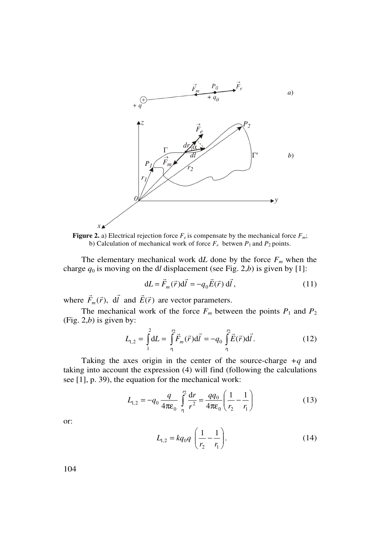



The elementary mechanical work  $dL$  done by the force  $F_m$  when the charge  $q_0$  is moving on the dl displacement (see Fig. 2,b) is given by [1]:

$$
dL = \vec{F}_m(\vec{r})d\vec{l} = -q_0\vec{E}(\vec{r})d\vec{l},
$$
\n(11)

where  $\vec{F}_m(\vec{r})$ ,  $\overrightarrow{r}$ *l*  $\rightarrow$ dl and  $\vec{E}(\vec{r})$  $\vec{r}$ are vector parameters.

The mechanical work of the force  $F_m$  between the points  $P_1$  and  $P_2$ (Fig. 2,*b*) is given by:

$$
L_{1,2} = \int_{1}^{2} dL = \int_{r_1}^{r_2} \vec{F}_m(\vec{r}) d\vec{l} = -q_0 \int_{r_1}^{r_2} \vec{E}(\vec{r}) d\vec{l}.
$$
 (12)

Taking the axes origin in the center of the source-charge  $+q$  and taking into account the expression (4) will find (following the calculations see [1], p. 39), the equation for the mechanical work:

$$
L_{1,2} = -q_0 \frac{q}{4\pi\epsilon_0} \int_{r_1}^{r_2} \frac{dr}{r^2} = \frac{qq_0}{4\pi\epsilon_0} \left(\frac{1}{r_2} - \frac{1}{r_1}\right)
$$
(13)

or:

$$
L_{1,2} = kq_0 q \left(\frac{1}{r_2} - \frac{1}{r_1}\right).
$$
 (14)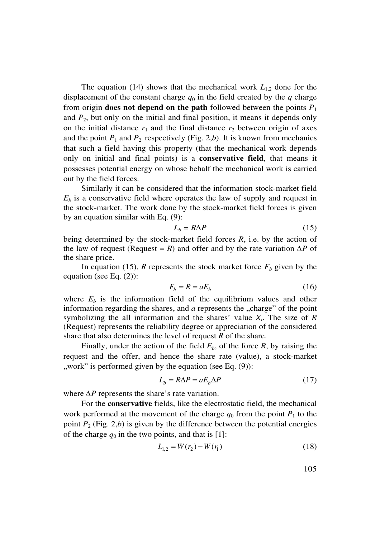The equation (14) shows that the mechanical work  $L_{1,2}$  done for the displacement of the constant charge  $q_0$  in the field created by the  $q$  charge from origin **does not depend on the path** followed between the points  $P_1$ and  $P_2$ , but only on the initial and final position, it means it depends only on the initial distance  $r_1$  and the final distance  $r_2$  between origin of axes and the point  $P_1$  and  $P_2$  respectively (Fig. 2,*b*). It is known from mechanics that such a field having this property (that the mechanical work depends only on initial and final points) is a **conservative field**, that means it possesses potential energy on whose behalf the mechanical work is carried out by the field forces.

Similarly it can be considered that the information stock-market field  $E_b$  is a conservative field where operates the law of supply and request in the stock-market. The work done by the stock-market field forces is given by an equation similar with Eq. (9):

$$
L_b = R\Delta P \tag{15}
$$

being determined by the stock-market field forces *R*, i.e. by the action of the law of request (Request = *R*) and offer and by the rate variation  $\Delta P$  of the share price.

In equation (15),  $R$  represents the stock market force  $F_b$  given by the equation (see Eq. (2)):

$$
F_b = R = aE_b \tag{16}
$$

where  $E_b$  is the information field of the equilibrium values and other information regarding the shares, and  $a$  represents the  $n$ , charge" of the point symbolizing the all information and the shares' value *X<sup>i</sup>* . The size of *R* (Request) represents the reliability degree or appreciation of the considered share that also determines the level of request *R* of the share.

Finally, under the action of the field  $E_b$ , of the force  $R$ , by raising the request and the offer, and hence the share rate (value), a stock-market ", work" is performed given by the equation (see Eq.  $(9)$ ):

$$
L_b = R\Delta P = aE_b\Delta P \tag{17}
$$

where ∆*P* represents the share's rate variation.

For the **conservative** fields, like the electrostatic field, the mechanical work performed at the movement of the charge  $q_0$  from the point  $P_1$  to the point  $P_2$  (Fig. 2,*b*) is given by the difference between the potential energies of the charge  $q_0$  in the two points, and that is [1]:

$$
L_{1,2} = W(r_2) - W(r_1)
$$
 (18)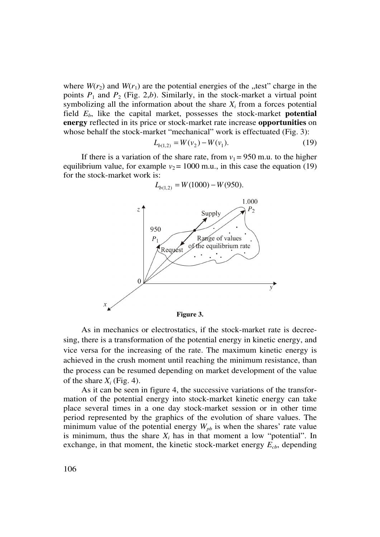where  $W(r_2)$  and  $W(r_1)$  are the potential energies of the "test" charge in the points  $P_1$  and  $P_2$  (Fig. 2,*b*). Similarly, in the stock-market a virtual point symbolizing all the information about the share  $X_i$  from a forces potential field *E<sup>b</sup>* , like the capital market, possesses the stock-market **potential energy** reflected in its price or stock-market rate increase **opportunities** on whose behalf the stock-market "mechanical" work is effectuated (Fig. 3):

$$
L_{b(1,2)} = W(v_2) - W(v_1). \tag{19}
$$

If there is a variation of the share rate, from  $v_1 = 950$  m.u. to the higher equilibrium value, for example  $v_2$  = 1000 m.u., in this case the equation (19) for the stock-market work is:



$$
L_{b(1,2)} = W(1000) - W(950).
$$

As in mechanics or electrostatics, if the stock-market rate is decreesing, there is a transformation of the potential energy in kinetic energy, and vice versa for the increasing of the rate. The maximum kinetic energy is achieved in the crush moment until reaching the minimum resistance, than the process can be resumed depending on market development of the value of the share  $X_i$  (Fig. 4).

As it can be seen in figure 4, the successive variations of the transformation of the potential energy into stock-market kinetic energy can take place several times in a one day stock-market session or in other time period represented by the graphics of the evolution of share values. The minimum value of the potential energy  $W_{pb}$  is when the shares' rate value is minimum, thus the share  $X_i$  has in that moment a low "potential". In exchange, in that moment, the kinetic stock-market energy  $E_{cb}$ , depending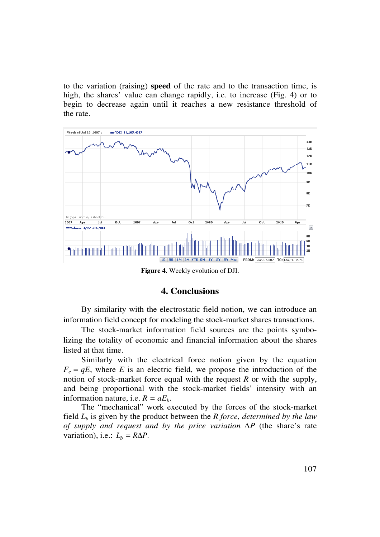to the variation (raising) **speed** of the rate and to the transaction time, is high, the shares' value can change rapidly, i.e. to increase (Fig. 4) or to begin to decrease again until it reaches a new resistance threshold of the rate.



**Figure 4.** Weekly evolution of DJI.

# **4. Conclusions**

By similarity with the electrostatic field notion, we can introduce an information field concept for modeling the stock-market shares transactions.

The stock-market information field sources are the points symbolizing the totality of economic and financial information about the shares listed at that time.

Similarly with the electrical force notion given by the equation  $F_e = qE$ , where *E* is an electric field, we propose the introduction of the notion of stock-market force equal with the request *R* or with the supply, and being proportional with the stock-market fields' intensity with an information nature, i.e.  $R = aE_b$ .

The "mechanical" work executed by the forces of the stock-market field *L<sup>b</sup>* is given by the product between the *R force, determined by the law of supply and request and by the price variation* ∆*P* (the share's rate variation), i.e.:  $L_b = R \Delta P$ .